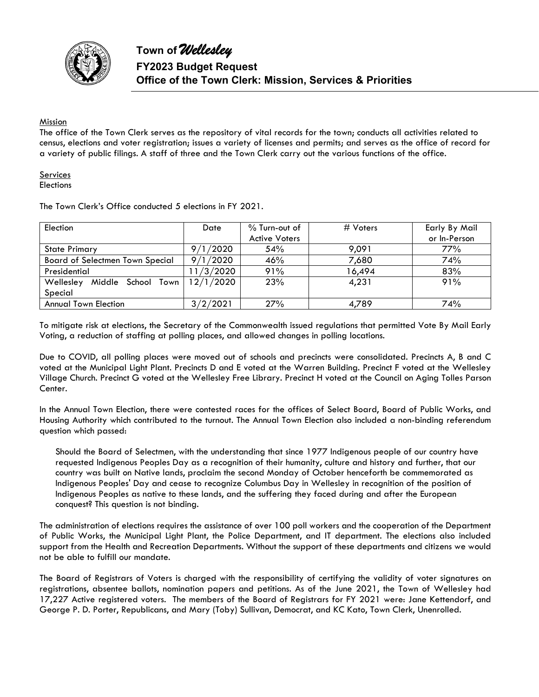

#### Mission

The office of the Town Clerk serves as the repository of vital records for the town; conducts all activities related to census, elections and voter registration; issues a variety of licenses and permits; and serves as the office of record for a variety of public filings. A staff of three and the Town Clerk carry out the various functions of the office.

**Services Elections** 

| Election                               | Date      | $%$ Turn-out of      | # Voters | Early By Mail |  |  |
|----------------------------------------|-----------|----------------------|----------|---------------|--|--|
|                                        |           | <b>Active Voters</b> |          | or In-Person  |  |  |
| <b>State Primary</b>                   | 1/2020    | 54%                  | 9.091    | 77%           |  |  |
| <b>Board of Selectmen Town Special</b> | 9/1/2020  | 46%                  | 7,680    | 74%           |  |  |
| Presidential                           | 11/3/2020 | 91%                  | 16,494   | 83%           |  |  |
| Wellesley<br>Middle School Town        | 12/1/2020 | 23%                  | 4,231    | 91%           |  |  |
| Special                                |           |                      |          |               |  |  |
| <b>Annual Town Election</b>            | 3/2/2021  | 27%                  | 4,789    | 74%           |  |  |

The Town Clerk's Office conducted 5 elections in FY 2021.

To mitigate risk at elections, the Secretary of the Commonwealth issued regulations that permitted Vote By Mail Early Voting, a reduction of staffing at polling places, and allowed changes in polling locations.

Due to COVID, all polling places were moved out of schools and precincts were consolidated. Precincts A, B and C voted at the Municipal Light Plant. Precincts D and E voted at the Warren Building. Precinct F voted at the Wellesley Village Church. Precinct G voted at the Wellesley Free Library. Precinct H voted at the Council on Aging Tolles Parson Center.

In the Annual Town Election, there were contested races for the offices of Select Board, Board of Public Works, and Housing Authority which contributed to the turnout. The Annual Town Election also included a non-binding referendum question which passed:

Should the Board of Selectmen, with the understanding that since 1977 Indigenous people of our country have requested Indigenous Peoples Day as a recognition of their humanity, culture and history and further, that our country was built on Native lands, proclaim the second Monday of October henceforth be commemorated as Indigenous Peoples' Day and cease to recognize Columbus Day in Wellesley in recognition of the position of Indigenous Peoples as native to these lands, and the suffering they faced during and after the European conquest? This question is not binding.

The administration of elections requires the assistance of over 100 poll workers and the cooperation of the Department of Public Works, the Municipal Light Plant, the Police Department, and IT department. The elections also included support from the Health and Recreation Departments. Without the support of these departments and citizens we would not be able to fulfill our mandate.

The Board of Registrars of Voters is charged with the responsibility of certifying the validity of voter signatures on registrations, absentee ballots, nomination papers and petitions. As of the June 2021, the Town of Wellesley had 17,227 Active registered voters. The members of the Board of Registrars for FY 2021 were: Jane Kettendorf, and George P. D. Porter, Republicans, and Mary (Toby) Sullivan, Democrat, and KC Kato, Town Clerk, Unenrolled.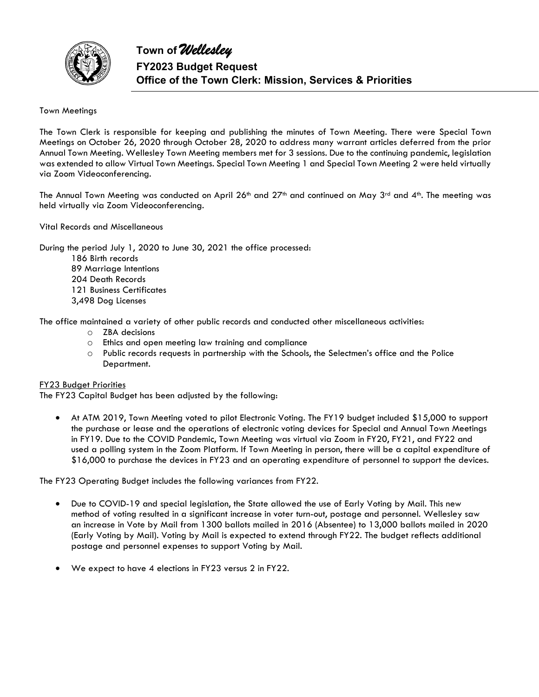

#### Town Meetings

The Town Clerk is responsible for keeping and publishing the minutes of Town Meeting. There were Special Town Meetings on October 26, 2020 through October 28, 2020 to address many warrant articles deferred from the prior Annual Town Meeting. Wellesley Town Meeting members met for 3 sessions. Due to the continuing pandemic, legislation was extended to allow Virtual Town Meetings. Special Town Meeting 1 and Special Town Meeting 2 were held virtually via Zoom Videoconferencing.

The Annual Town Meeting was conducted on April 26<sup>th</sup> and 27<sup>th</sup> and continued on May 3<sup>rd</sup> and 4<sup>th</sup>. The meeting was held virtually via Zoom Videoconferencing.

Vital Records and Miscellaneous

During the period July 1, 2020 to June 30, 2021 the office processed: 186 Birth records 89 Marriage Intentions 204 Death Records

121 Business Certificates

3,498 Dog Licenses

The office maintained a variety of other public records and conducted other miscellaneous activities:

- o ZBA decisions
- o Ethics and open meeting law training and compliance
- o Public records requests in partnership with the Schools, the Selectmen's office and the Police Department.

#### FY23 Budget Priorities

The FY23 Capital Budget has been adjusted by the following:

 At ATM 2019, Town Meeting voted to pilot Electronic Voting. The FY19 budget included \$15,000 to support the purchase or lease and the operations of electronic voting devices for Special and Annual Town Meetings in FY19. Due to the COVID Pandemic, Town Meeting was virtual via Zoom in FY20, FY21, and FY22 and used a polling system in the Zoom Platform. If Town Meeting in person, there will be a capital expenditure of \$16,000 to purchase the devices in FY23 and an operating expenditure of personnel to support the devices.

The FY23 Operating Budget includes the following variances from FY22.

- Due to COVID-19 and special legislation, the State allowed the use of Early Voting by Mail. This new method of voting resulted in a significant increase in voter turn-out, postage and personnel. Wellesley saw an increase in Vote by Mail from 1300 ballots mailed in 2016 (Absentee) to 13,000 ballots mailed in 2020 (Early Voting by Mail). Voting by Mail is expected to extend through FY22. The budget reflects additional postage and personnel expenses to support Voting by Mail.
- We expect to have 4 elections in FY23 versus 2 in FY22.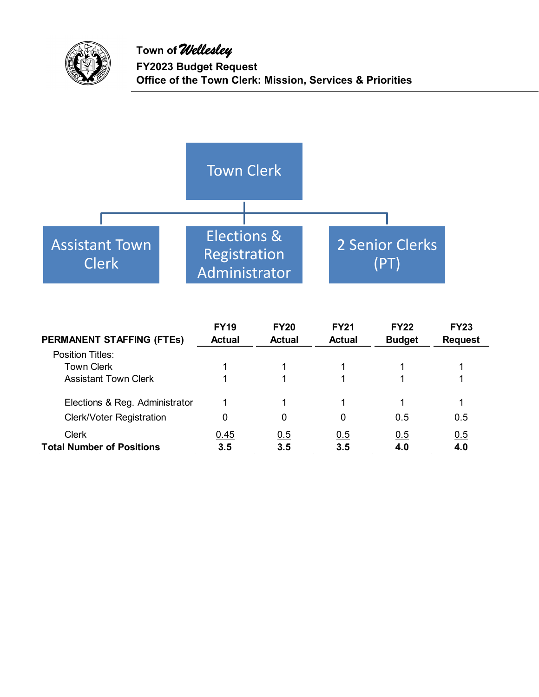



| <b>PERMANENT STAFFING (FTES)</b>                 | <b>FY19</b><br><b>Actual</b> | <b>FY20</b><br><b>Actual</b> | <b>FY21</b><br><b>Actual</b> | <b>FY22</b><br><b>Budget</b> | <b>FY23</b><br><b>Request</b> |
|--------------------------------------------------|------------------------------|------------------------------|------------------------------|------------------------------|-------------------------------|
| <b>Position Titles:</b>                          |                              |                              |                              |                              |                               |
| <b>Town Clerk</b>                                |                              |                              |                              |                              |                               |
| <b>Assistant Town Clerk</b>                      |                              |                              |                              |                              |                               |
| Elections & Reg. Administrator                   |                              |                              |                              |                              |                               |
| <b>Clerk/Voter Registration</b>                  | 0                            | 0                            | 0                            | 0.5                          | 0.5                           |
| <b>Clerk</b><br><b>Total Number of Positions</b> | 0.45<br>3.5                  | 0.5<br>3.5                   | 0.5<br>3.5                   | 0.5<br>4.0                   | 0.5<br>4.0                    |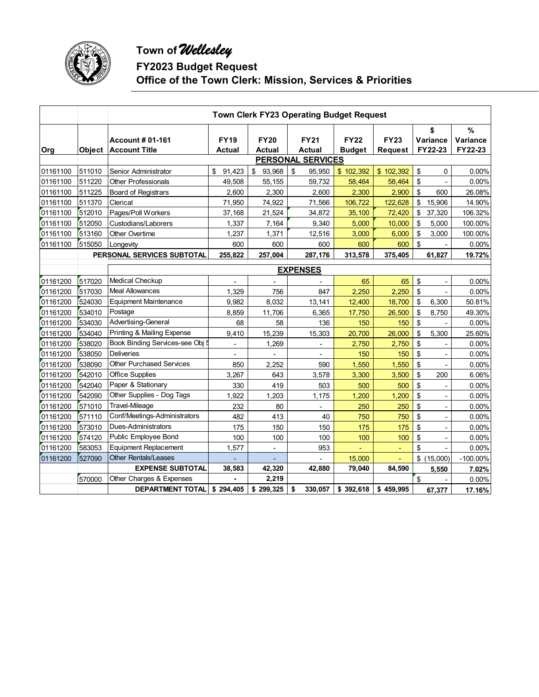

# **Town of** *Wellesley*

**FY2023 Budget Request** 

**Office of the Town Clerk: Mission, Services & Priorities** 

|          |        | Town Clerk FY23 Operating Budget Request               |                       |                              |                              |                              |                               |                           |                          |  |  |  |  |  |
|----------|--------|--------------------------------------------------------|-----------------------|------------------------------|------------------------------|------------------------------|-------------------------------|---------------------------|--------------------------|--|--|--|--|--|
| Org      |        | <b>Account # 01-161</b><br><b>Object Account Title</b> | <b>FY19</b><br>Actual | <b>FY20</b><br><b>Actual</b> | <b>FY21</b><br><b>Actual</b> | <b>FY22</b><br><b>Budget</b> | <b>FY23</b><br><b>Request</b> | \$<br>Variance<br>FY22-23 | %<br>Variance<br>FY22-23 |  |  |  |  |  |
|          |        |                                                        |                       |                              | <b>PERSONAL SERVICES</b>     |                              |                               |                           |                          |  |  |  |  |  |
| 01161100 | 511010 | Senior Administrator                                   | 91,423<br>\$          | \$<br>93,968                 | \$<br>95,950                 | \$102,392                    | \$102,392                     | \$<br>0                   | 0.00%                    |  |  |  |  |  |
| 01161100 | 511220 | <b>Other Professionals</b>                             | 49,508                | 55,155                       | 59,732                       | 58,464                       | 58,464                        | \$                        | 0.00%                    |  |  |  |  |  |
| 01161100 | 511225 | Board of Registrars                                    | 2,600                 | 2,300                        | 2,600                        | 2,300                        | 2,900                         | \$<br>600                 | 26.08%                   |  |  |  |  |  |
| 01161100 | 511370 | Clerical                                               | 71,950                | 74,922                       | 71,566                       | 106,722                      | 122,628                       | \$<br>15,906              | 14.90%                   |  |  |  |  |  |
| 01161100 | 512010 | Pages/Poll Workers                                     | 37,168                | 21,524                       | 34,872                       | 35,100                       | 72,420                        | \$<br>37,320              | 106.32%                  |  |  |  |  |  |
| 01161100 | 512050 | Custodians/Laborers                                    | 1,337                 | 7,164                        | 9,340                        | 5,000                        | 10,000                        | \$<br>5,000               | 100.00%                  |  |  |  |  |  |
| 01161100 | 513160 | <b>Other Overtime</b>                                  | 1,237                 | 1,371                        | 12,516                       | 3,000                        | 6,000                         | \$<br>3,000               | 100.00%                  |  |  |  |  |  |
| 01161100 | 515050 | Longevity                                              | 600                   | 600                          | 600                          | 600                          | 600                           | \$                        | 0.00%                    |  |  |  |  |  |
|          |        | PERSONAL SERVICES SUBTOTAL                             | 255,822               | 257,004                      | 287,176                      | 313,578                      | 375,405                       | 61,827                    | 19.72%                   |  |  |  |  |  |
|          |        |                                                        |                       |                              | <b>EXPENSES</b>              |                              |                               |                           |                          |  |  |  |  |  |
| 01161200 | 517020 | <b>Medical Checkup</b>                                 |                       |                              |                              | 65                           | 65                            | \$                        | $0.00\%$                 |  |  |  |  |  |
| 01161200 | 517030 | <b>Meal Allowances</b>                                 | 1,329                 | 756                          | 847                          | 2,250                        | 2,250                         | \$                        | 0.00%                    |  |  |  |  |  |
| 01161200 | 524030 | <b>Equipment Maintenance</b>                           | 9,982                 | 8,032                        | 13,141                       | 12,400                       | 18,700                        | \$<br>6,300               | 50.81%                   |  |  |  |  |  |
| 01161200 | 534010 | Postage                                                | 8,859                 | 11,706                       | 6,365                        | 17,750                       | 26,500                        | \$<br>8,750               | 49.30%                   |  |  |  |  |  |
| 01161200 | 534030 | Advertising-General                                    | 68                    | 58                           | 136                          | 150                          | 150                           | \$                        | 0.00%                    |  |  |  |  |  |
| 01161200 | 534040 | Printing & Mailing Expense                             | 9,410                 | 15,239                       | 15,303                       | 20,700                       | 26,000                        | \$<br>5,300               | 25.60%                   |  |  |  |  |  |
| 01161200 | 538020 | Book Binding Services-see Obj                          | $\overline{a}$        | 1,269                        | ä,                           | 2,750                        | 2,750                         | \$                        | 0.00%                    |  |  |  |  |  |
| 01161200 | 538050 | <b>Deliveries</b>                                      |                       |                              |                              | 150                          | 150                           | \$                        | 0.00%                    |  |  |  |  |  |
| 01161200 | 538090 | <b>Other Purchased Services</b>                        | 850                   | 2,252                        | 590                          | 1,550                        | 1,550                         | \$                        | 0.00%                    |  |  |  |  |  |
| 01161200 | 542010 | <b>Office Supplies</b>                                 | 3,267                 | 643                          | 3,578                        | 3,300                        | 3,500                         | \$<br>200                 | 6.06%                    |  |  |  |  |  |
| 01161200 | 542040 | Paper & Stationary                                     | 330                   | 419                          | 503                          | 500                          | 500                           | \$                        | 0.00%                    |  |  |  |  |  |
| 01161200 | 542090 | Other Supplies - Dog Tags                              | 1,922                 | 1,203                        | 1,175                        | 1,200                        | 1,200                         | \$                        | 0.00%                    |  |  |  |  |  |
| 01161200 | 571010 | Travel-Mileage                                         | 232                   | 80                           | ٠                            | 250                          | 250                           | \$                        | 0.00%                    |  |  |  |  |  |
| 01161200 | 571110 | Conf/Meetings-Administrators                           | 482                   | 413                          | 40                           | 750                          | 750                           | \$                        | 0.00%                    |  |  |  |  |  |
| 01161200 | 573010 | Dues-Administrators                                    | 175                   | 150                          | 150                          | 175                          | 175                           | \$                        | 0.00%                    |  |  |  |  |  |
| 01161200 | 574120 | Public Employee Bond                                   | 100                   | 100                          | 100                          | 100                          | 100                           | \$                        | 0.00%                    |  |  |  |  |  |
| 01161200 | 583053 | Equipment Replacement                                  | 1,577                 |                              | 953                          |                              | ÷                             | \$                        | 0.00%                    |  |  |  |  |  |
| 01161200 | 527090 | <b>Other Rentals/Leases</b>                            |                       |                              |                              | 15,000                       |                               | \$(15,000)                | $-100.00\%$              |  |  |  |  |  |
|          |        | <b>EXPENSE SUBTOTAL</b>                                | 38,583                | 42,320                       | 42,880                       | 79,040                       | 84,590                        | 5,550                     | 7.02%                    |  |  |  |  |  |
|          | 570000 | Other Charges & Expenses                               |                       | 2,219                        |                              |                              |                               | \$                        | 0.00%                    |  |  |  |  |  |
|          |        | <b>DEPARTMENT TOTAL</b>                                | \$294,405             | \$299,325                    | \$<br>330,057                | \$392,618                    | \$459,995                     | 67,377                    | 17.16%                   |  |  |  |  |  |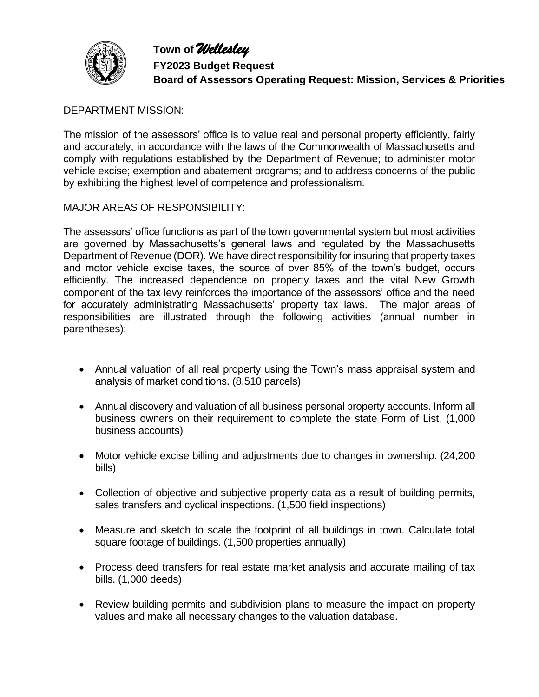

## DEPARTMENT MISSION:

The mission of the assessors' office is to value real and personal property efficiently, fairly and accurately, in accordance with the laws of the Commonwealth of Massachusetts and comply with regulations established by the Department of Revenue; to administer motor vehicle excise; exemption and abatement programs; and to address concerns of the public by exhibiting the highest level of competence and professionalism.

MAJOR AREAS OF RESPONSIBILITY:

The assessors' office functions as part of the town governmental system but most activities are governed by Massachusetts's general laws and regulated by the Massachusetts Department of Revenue (DOR). We have direct responsibility for insuring that property taxes and motor vehicle excise taxes, the source of over 85% of the town's budget, occurs efficiently. The increased dependence on property taxes and the vital New Growth component of the tax levy reinforces the importance of the assessors' office and the need for accurately administrating Massachusetts' property tax laws. The major areas of responsibilities are illustrated through the following activities (annual number in parentheses):

- Annual valuation of all real property using the Town's mass appraisal system and analysis of market conditions. (8,510 parcels)
- Annual discovery and valuation of all business personal property accounts. Inform all business owners on their requirement to complete the state Form of List. (1,000 business accounts)
- Motor vehicle excise billing and adjustments due to changes in ownership. (24,200 bills)
- Collection of objective and subjective property data as a result of building permits, sales transfers and cyclical inspections. (1,500 field inspections)
- Measure and sketch to scale the footprint of all buildings in town. Calculate total square footage of buildings. (1,500 properties annually)
- Process deed transfers for real estate market analysis and accurate mailing of tax bills. (1,000 deeds)
- Review building permits and subdivision plans to measure the impact on property values and make all necessary changes to the valuation database.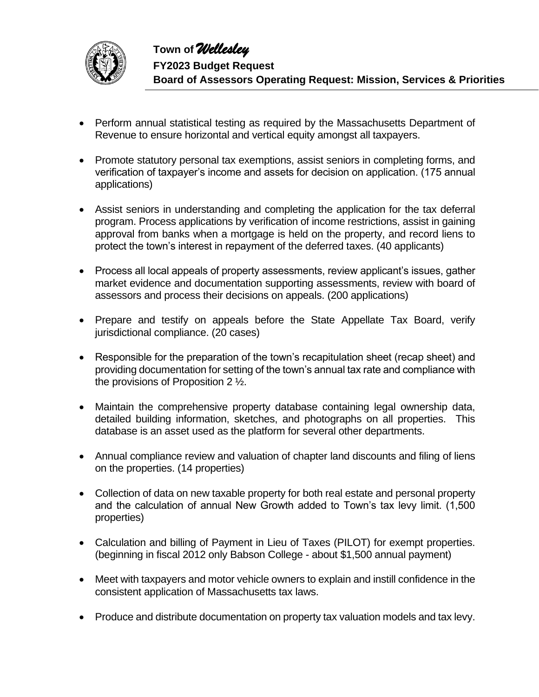

- Perform annual statistical testing as required by the Massachusetts Department of Revenue to ensure horizontal and vertical equity amongst all taxpayers.
- Promote statutory personal tax exemptions, assist seniors in completing forms, and verification of taxpayer's income and assets for decision on application. (175 annual applications)
- Assist seniors in understanding and completing the application for the tax deferral program. Process applications by verification of income restrictions, assist in gaining approval from banks when a mortgage is held on the property, and record liens to protect the town's interest in repayment of the deferred taxes. (40 applicants)
- Process all local appeals of property assessments, review applicant's issues, gather market evidence and documentation supporting assessments, review with board of assessors and process their decisions on appeals. (200 applications)
- Prepare and testify on appeals before the State Appellate Tax Board, verify jurisdictional compliance. (20 cases)
- Responsible for the preparation of the town's recapitulation sheet (recap sheet) and providing documentation for setting of the town's annual tax rate and compliance with the provisions of Proposition 2 ½.
- Maintain the comprehensive property database containing legal ownership data, detailed building information, sketches, and photographs on all properties. This database is an asset used as the platform for several other departments.
- Annual compliance review and valuation of chapter land discounts and filing of liens on the properties. (14 properties)
- Collection of data on new taxable property for both real estate and personal property and the calculation of annual New Growth added to Town's tax levy limit. (1,500 properties)
- Calculation and billing of Payment in Lieu of Taxes (PILOT) for exempt properties. (beginning in fiscal 2012 only Babson College - about \$1,500 annual payment)
- Meet with taxpayers and motor vehicle owners to explain and instill confidence in the consistent application of Massachusetts tax laws.
- Produce and distribute documentation on property tax valuation models and tax levy.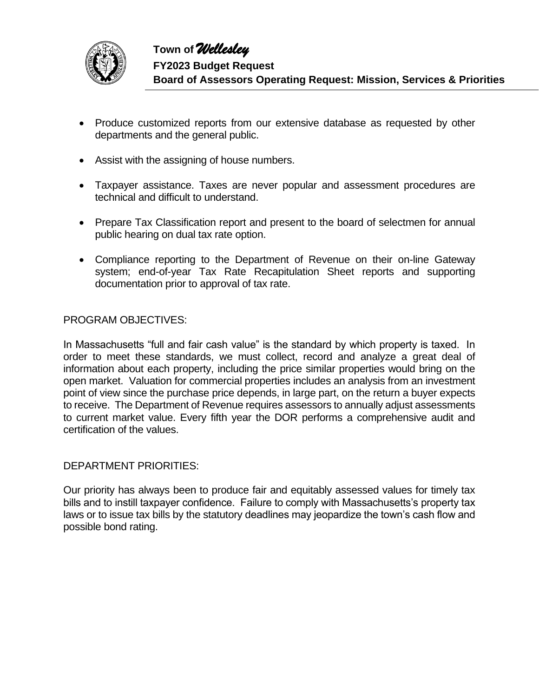

- Produce customized reports from our extensive database as requested by other departments and the general public.
- Assist with the assigning of house numbers.
- Taxpayer assistance. Taxes are never popular and assessment procedures are technical and difficult to understand.
- Prepare Tax Classification report and present to the board of selectmen for annual public hearing on dual tax rate option.
- Compliance reporting to the Department of Revenue on their on-line Gateway system; end-of-year Tax Rate Recapitulation Sheet reports and supporting documentation prior to approval of tax rate.

#### PROGRAM OBJECTIVES:

In Massachusetts "full and fair cash value" is the standard by which property is taxed. In order to meet these standards, we must collect, record and analyze a great deal of information about each property, including the price similar properties would bring on the open market. Valuation for commercial properties includes an analysis from an investment point of view since the purchase price depends, in large part, on the return a buyer expects to receive. The Department of Revenue requires assessors to annually adjust assessments to current market value. Every fifth year the DOR performs a comprehensive audit and certification of the values.

#### DEPARTMENT PRIORITIES:

Our priority has always been to produce fair and equitably assessed values for timely tax bills and to instill taxpayer confidence. Failure to comply with Massachusetts's property tax laws or to issue tax bills by the statutory deadlines may jeopardize the town's cash flow and possible bond rating.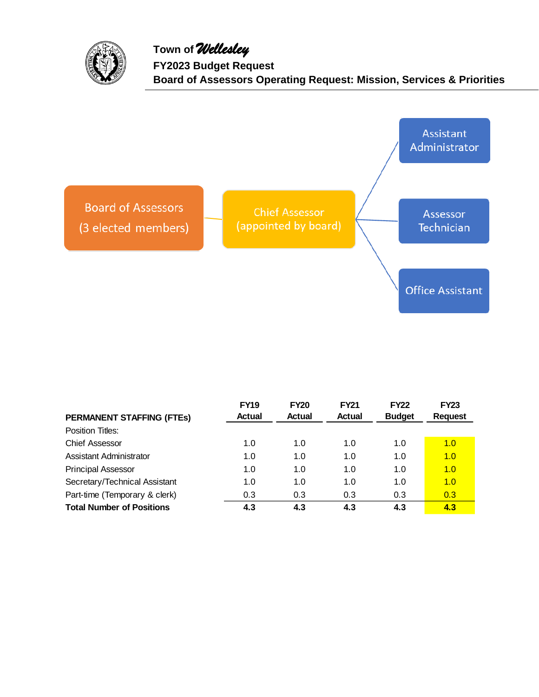

**Town of** *Wellesley* **FY2023 Budget Request Board of Assessors Operating Request: Mission, Services & Priorities**



| <b>PERMANENT STAFFING (FTES)</b> | <b>FY19</b><br><b>Actual</b> | <b>FY20</b><br>Actual | <b>FY21</b><br><b>Actual</b> | <b>FY22</b><br><b>Budget</b> | <b>FY23</b><br><b>Request</b> |
|----------------------------------|------------------------------|-----------------------|------------------------------|------------------------------|-------------------------------|
| Position Titles:                 |                              |                       |                              |                              |                               |
| <b>Chief Assessor</b>            | 1.0                          | 1.0                   | 1.0                          | 1.0                          | 1.0                           |
| Assistant Administrator          | 1.0                          | 1.0                   | 1.0                          | 1.0                          | 1.0                           |
| <b>Principal Assessor</b>        | 1.0                          | 1.0                   | 1.0                          | 1.0                          | 1.0                           |
| Secretary/Technical Assistant    | 1.0                          | 1.0                   | 1.0                          | 1.0                          | 1.0                           |
| Part-time (Temporary & clerk)    | 0.3                          | 0.3                   | 0.3                          | 0.3                          | 0.3                           |
| <b>Total Number of Positions</b> | 4.3                          | 4.3                   | 4.3                          | 4.3                          | 4.3                           |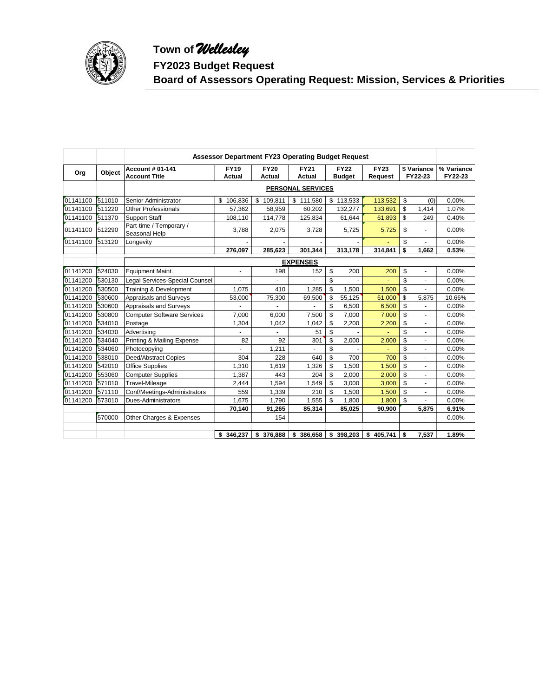

# **Town of** *Wellesley*

**FY2023 Budget Request**

**Board of Assessors Operating Request: Mission, Services & Priorities**

|          |        | <b>Assessor Department FY23 Operating Budget Request</b> |               |             |                          |               |             |                      |            |  |  |  |  |
|----------|--------|----------------------------------------------------------|---------------|-------------|--------------------------|---------------|-------------|----------------------|------------|--|--|--|--|
|          |        | <b>Account # 01-141</b>                                  | <b>FY19</b>   | <b>FY20</b> | <b>FY21</b>              | <b>FY22</b>   | <b>FY23</b> | \$ Variance          | % Variance |  |  |  |  |
| Org      | Object | <b>Account Title</b>                                     | <b>Actual</b> | Actual      | <b>Actual</b>            | <b>Budget</b> | Request     | FY22-23              | FY22-23    |  |  |  |  |
|          |        |                                                          |               |             | <b>PERSONAL SERVICES</b> |               |             |                      |            |  |  |  |  |
| 01141100 | 511010 | Senior Administrator                                     | \$106,836     | \$109,811   | \$111,580                | 113,533<br>\$ | 113,532     | \$<br>(0)            | 0.00%      |  |  |  |  |
| 01141100 | 511220 | <b>Other Professionals</b>                               | 57,362        | 58,959      | 60,202                   | 132,277       | 133,691     | \$<br>1,414          | 1.07%      |  |  |  |  |
| 01141100 | 511370 | <b>Support Staff</b>                                     | 108,110       | 114,778     | 125,834                  | 61,644        | 61,893      | \$<br>249            | 0.40%      |  |  |  |  |
| 01141100 | 512290 | Part-time / Temporary /<br>Seasonal Help                 | 3.788         | 2,075       | 3,728                    | 5,725         | 5,725       | \$                   | 0.00%      |  |  |  |  |
| 01141100 | 513120 | Longevity                                                |               |             |                          |               |             | \$                   | 0.00%      |  |  |  |  |
|          |        |                                                          | 276,097       | 285,623     | 301,344                  | 313,178       | 314,841     | \$<br>1,662          | 0.53%      |  |  |  |  |
|          |        |                                                          |               |             | <b>EXPENSES</b>          |               |             |                      |            |  |  |  |  |
| 01141200 | 524030 | Equipment Maint.                                         | ä,            | 198         | 152                      | \$<br>200     | 200         | \$<br>ä,             | 0.00%      |  |  |  |  |
| 01141200 | 530130 | Legal Services-Special Counsel                           |               |             |                          | \$            |             | \$                   | 0.00%      |  |  |  |  |
| 01141200 | 530500 | Training & Development                                   | 1,075         | 410         | 1,285                    | \$<br>1,500   | 1,500       | \$                   | 0.00%      |  |  |  |  |
| 01141200 | 530600 | Appraisals and Surveys                                   | 53,000        | 75,300      | 69,500                   | \$<br>55,125  | 61,000      | \$<br>5,875          | 10.66%     |  |  |  |  |
| 01141200 | 530600 | Appraisals and Surveys                                   | ä,            |             |                          | \$<br>6,500   | 6,500       | \$<br>$\blacksquare$ | 0.00%      |  |  |  |  |
| 01141200 | 530800 | <b>Computer Software Services</b>                        | 7.000         | 6,000       | 7,500                    | \$<br>7,000   | 7,000       | \$                   | 0.00%      |  |  |  |  |
| 01141200 | 534010 | Postage                                                  | 1,304         | 1,042       | 1,042                    | \$<br>2,200   | 2,200       | \$<br>÷.             | 0.00%      |  |  |  |  |
| 01141200 | 534030 | Advertising                                              |               |             | 51                       | \$            |             | \$                   | 0.00%      |  |  |  |  |
| 01141200 | 534040 | Printing & Mailing Expense                               | 82            | 92          | 301                      | \$<br>2,000   | 2,000       | \$<br>ä,             | 0.00%      |  |  |  |  |
| 01141200 | 534060 | Photocopying                                             |               | 1,211       |                          | \$            |             | \$<br>$\blacksquare$ | 0.00%      |  |  |  |  |
| 01141200 | 538010 | Deed/Abstract Copies                                     | 304           | 228         | 640                      | \$<br>700     | 700         | \$                   | 0.00%      |  |  |  |  |
| 01141200 | 542010 | <b>Office Supplies</b>                                   | 1,310         | 1,619       | 1,326                    | \$<br>1,500   | 1,500       | \$                   | 0.00%      |  |  |  |  |
| 01141200 | 553060 | <b>Computer Supplies</b>                                 | 1,387         | 443         | 204                      | \$<br>2,000   | 2,000       | \$                   | 0.00%      |  |  |  |  |
| 01141200 | 571010 | Travel-Mileage                                           | 2,444         | 1,594       | 1,549                    | \$<br>3,000   | 3,000       | \$<br>÷.             | 0.00%      |  |  |  |  |
| 01141200 | 571110 | Conf/Meetings-Administrators                             | 559           | 1,339       | 210                      | \$<br>1,500   | 1,500       | \$                   | 0.00%      |  |  |  |  |
| 01141200 | 573010 | Dues-Administrators                                      | 1,675         | 1,790       | 1,555                    | \$<br>1,800   | 1,800       | \$                   | 0.00%      |  |  |  |  |
|          |        |                                                          | 70,140        | 91,265      | 85,314                   | 85,025        | 90,900      | 5,875                | 6.91%      |  |  |  |  |
|          | 570000 | Other Charges & Expenses                                 |               | 154         |                          |               |             |                      | 0.00%      |  |  |  |  |
|          |        |                                                          | \$ 346.237    | \$376,888   | \$386,658                | \$398,203     | \$405,741   | \$<br>7,537          | 1.89%      |  |  |  |  |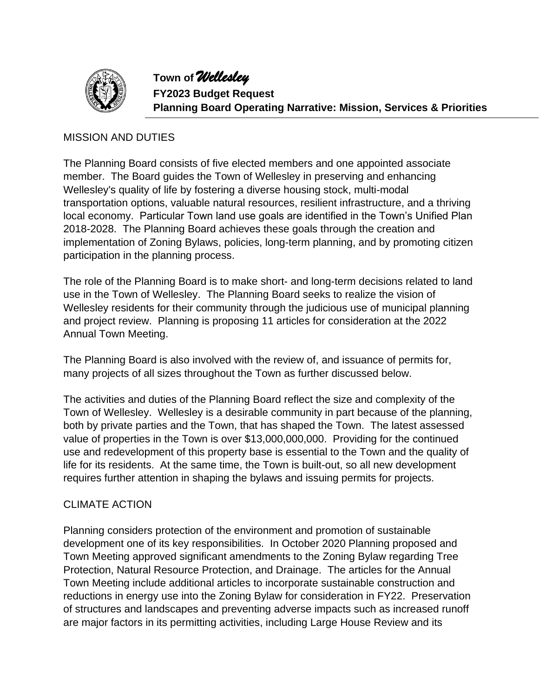

**Town of** *Wellesley* **FY2023 Budget Request Planning Board Operating Narrative: Mission, Services & Priorities**

## MISSION AND DUTIES

The Planning Board consists of five elected members and one appointed associate member. The Board guides the Town of Wellesley in preserving and enhancing Wellesley's quality of life by fostering a diverse housing stock, multi-modal transportation options, valuable natural resources, resilient infrastructure, and a thriving local economy. Particular Town land use goals are identified in the Town's Unified Plan 2018-2028. The Planning Board achieves these goals through the creation and implementation of Zoning Bylaws, policies, long-term planning, and by promoting citizen participation in the planning process.

The role of the Planning Board is to make short- and long-term decisions related to land use in the Town of Wellesley. The Planning Board seeks to realize the vision of Wellesley residents for their community through the judicious use of municipal planning and project review. Planning is proposing 11 articles for consideration at the 2022 Annual Town Meeting.

The Planning Board is also involved with the review of, and issuance of permits for, many projects of all sizes throughout the Town as further discussed below.

The activities and duties of the Planning Board reflect the size and complexity of the Town of Wellesley. Wellesley is a desirable community in part because of the planning, both by private parties and the Town, that has shaped the Town. The latest assessed value of properties in the Town is over \$13,000,000,000. Providing for the continued use and redevelopment of this property base is essential to the Town and the quality of life for its residents. At the same time, the Town is built-out, so all new development requires further attention in shaping the bylaws and issuing permits for projects.

# CLIMATE ACTION

Planning considers protection of the environment and promotion of sustainable development one of its key responsibilities. In October 2020 Planning proposed and Town Meeting approved significant amendments to the Zoning Bylaw regarding Tree Protection, Natural Resource Protection, and Drainage. The articles for the Annual Town Meeting include additional articles to incorporate sustainable construction and reductions in energy use into the Zoning Bylaw for consideration in FY22. Preservation of structures and landscapes and preventing adverse impacts such as increased runoff are major factors in its permitting activities, including Large House Review and its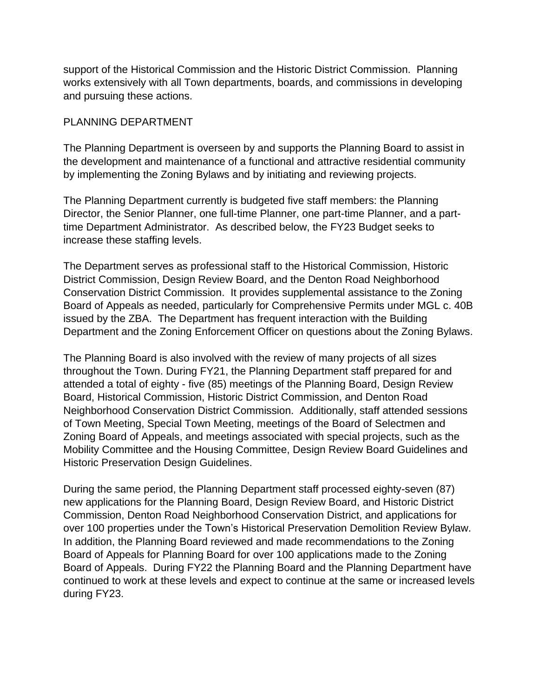support of the Historical Commission and the Historic District Commission. Planning works extensively with all Town departments, boards, and commissions in developing and pursuing these actions.

## PLANNING DEPARTMENT

The Planning Department is overseen by and supports the Planning Board to assist in the development and maintenance of a functional and attractive residential community by implementing the Zoning Bylaws and by initiating and reviewing projects.

The Planning Department currently is budgeted five staff members: the Planning Director, the Senior Planner, one full-time Planner, one part-time Planner, and a parttime Department Administrator. As described below, the FY23 Budget seeks to increase these staffing levels.

The Department serves as professional staff to the Historical Commission, Historic District Commission, Design Review Board, and the Denton Road Neighborhood Conservation District Commission. It provides supplemental assistance to the Zoning Board of Appeals as needed, particularly for Comprehensive Permits under MGL c. 40B issued by the ZBA. The Department has frequent interaction with the Building Department and the Zoning Enforcement Officer on questions about the Zoning Bylaws.

The Planning Board is also involved with the review of many projects of all sizes throughout the Town. During FY21, the Planning Department staff prepared for and attended a total of eighty - five (85) meetings of the Planning Board, Design Review Board, Historical Commission, Historic District Commission, and Denton Road Neighborhood Conservation District Commission. Additionally, staff attended sessions of Town Meeting, Special Town Meeting, meetings of the Board of Selectmen and Zoning Board of Appeals, and meetings associated with special projects, such as the Mobility Committee and the Housing Committee, Design Review Board Guidelines and Historic Preservation Design Guidelines.

During the same period, the Planning Department staff processed eighty-seven (87) new applications for the Planning Board, Design Review Board, and Historic District Commission, Denton Road Neighborhood Conservation District, and applications for over 100 properties under the Town's Historical Preservation Demolition Review Bylaw. In addition, the Planning Board reviewed and made recommendations to the Zoning Board of Appeals for Planning Board for over 100 applications made to the Zoning Board of Appeals. During FY22 the Planning Board and the Planning Department have continued to work at these levels and expect to continue at the same or increased levels during FY23.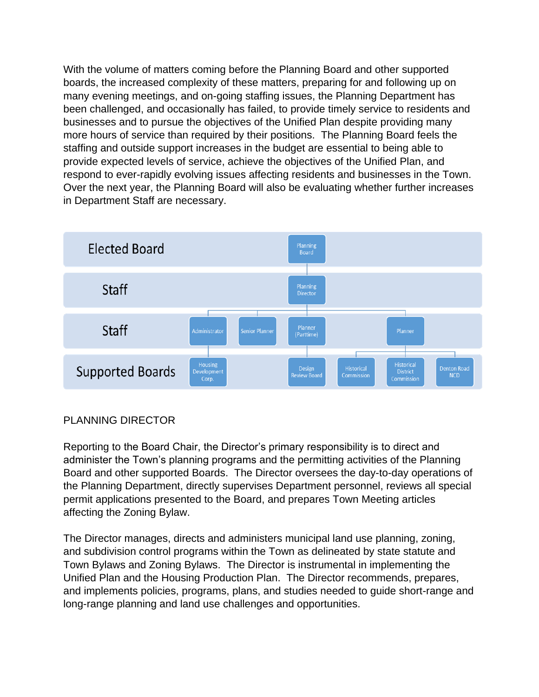With the volume of matters coming before the Planning Board and other supported boards, the increased complexity of these matters, preparing for and following up on many evening meetings, and on-going staffing issues, the Planning Department has been challenged, and occasionally has failed, to provide timely service to residents and businesses and to pursue the objectives of the Unified Plan despite providing many more hours of service than required by their positions. The Planning Board feels the staffing and outside support increases in the budget are essential to being able to provide expected levels of service, achieve the objectives of the Unified Plan, and respond to ever-rapidly evolving issues affecting residents and businesses in the Town. Over the next year, the Planning Board will also be evaluating whether further increases in Department Staff are necessary.



# PLANNING DIRECTOR

Reporting to the Board Chair, the Director's primary responsibility is to direct and administer the Town's planning programs and the permitting activities of the Planning Board and other supported Boards. The Director oversees the day-to-day operations of the Planning Department, directly supervises Department personnel, reviews all special permit applications presented to the Board, and prepares Town Meeting articles affecting the Zoning Bylaw.

The Director manages, directs and administers municipal land use planning, zoning, and subdivision control programs within the Town as delineated by state statute and Town Bylaws and Zoning Bylaws. The Director is instrumental in implementing the Unified Plan and the Housing Production Plan. The Director recommends, prepares, and implements policies, programs, plans, and studies needed to guide short-range and long-range planning and land use challenges and opportunities.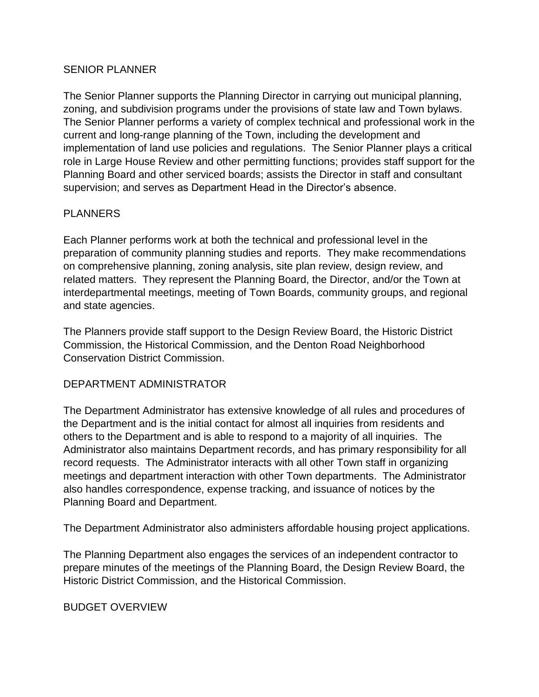### SENIOR PLANNER

The Senior Planner supports the Planning Director in carrying out municipal planning, zoning, and subdivision programs under the provisions of state law and Town bylaws. The Senior Planner performs a variety of complex technical and professional work in the current and long-range planning of the Town, including the development and implementation of land use policies and regulations. The Senior Planner plays a critical role in Large House Review and other permitting functions; provides staff support for the Planning Board and other serviced boards; assists the Director in staff and consultant supervision; and serves as Department Head in the Director's absence.

# PLANNERS

Each Planner performs work at both the technical and professional level in the preparation of community planning studies and reports. They make recommendations on comprehensive planning, zoning analysis, site plan review, design review, and related matters. They represent the Planning Board, the Director, and/or the Town at interdepartmental meetings, meeting of Town Boards, community groups, and regional and state agencies.

The Planners provide staff support to the Design Review Board, the Historic District Commission, the Historical Commission, and the Denton Road Neighborhood Conservation District Commission.

# DEPARTMENT ADMINISTRATOR

The Department Administrator has extensive knowledge of all rules and procedures of the Department and is the initial contact for almost all inquiries from residents and others to the Department and is able to respond to a majority of all inquiries. The Administrator also maintains Department records, and has primary responsibility for all record requests. The Administrator interacts with all other Town staff in organizing meetings and department interaction with other Town departments. The Administrator also handles correspondence, expense tracking, and issuance of notices by the Planning Board and Department.

The Department Administrator also administers affordable housing project applications.

The Planning Department also engages the services of an independent contractor to prepare minutes of the meetings of the Planning Board, the Design Review Board, the Historic District Commission, and the Historical Commission.

# BUDGET OVERVIEW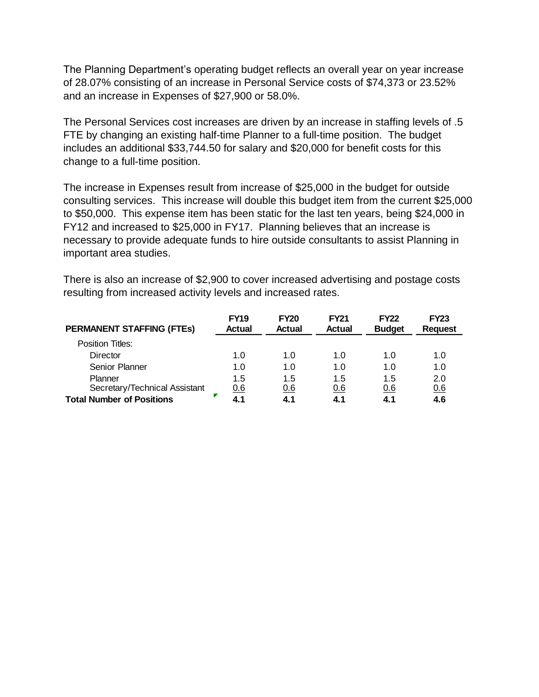The Planning Department's operating budget reflects an overall year on year increase of 28.07% consisting of an increase in Personal Service costs of \$74,373 or 23.52% and an increase in Expenses of \$27,900 or 58.0%.

The Personal Services cost increases are driven by an increase in staffing levels of .5 FTE by changing an existing half-time Planner to a full-time position. The budget includes an additional \$33,744.50 for salary and \$20,000 for benefit costs for this change to a full-time position.

The increase in Expenses result from increase of \$25,000 in the budget for outside consulting services. This increase will double this budget item from the current \$25,000 to \$50,000. This expense item has been static for the last ten years, being \$24,000 in FY12 and increased to \$25,000 in FY17. Planning believes that an increase is necessary to provide adequate funds to hire outside consultants to assist Planning in important area studies.

There is also an increase of \$2,900 to cover increased advertising and postage costs resulting from increased activity levels and increased rates.

| <b>PERMANENT STAFFING (FTES)</b> | <b>FY19</b><br><b>Actual</b> | <b>FY20</b><br><b>Actual</b> | <b>FY21</b><br>Actual | <b>FY22</b><br><b>Budget</b> | <b>FY23</b><br><b>Request</b> |
|----------------------------------|------------------------------|------------------------------|-----------------------|------------------------------|-------------------------------|
| Position Titles:                 |                              |                              |                       |                              |                               |
| Director                         | 1.0                          | 1.0                          | 1.0                   | 1.0                          | 1.0                           |
| <b>Senior Planner</b>            | 1.0                          | 1.0                          | 1.0                   | 1.0                          | 1.0                           |
| Planner                          | 1.5                          | 1.5                          | 1.5                   | 1.5                          | 2.0                           |
| Secretary/Technical Assistant    | 0.6                          | 0.6                          | 0.6                   | 0.6                          | 0.6                           |
| <b>Total Number of Positions</b> |                              | 4.1                          | 4.1                   |                              | 4.6                           |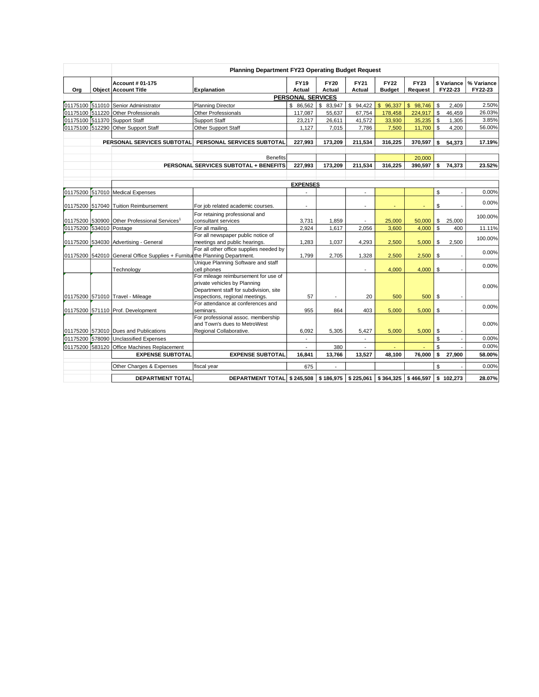|                         | Planning Department FY23 Operating Budget Request                          |                                                                           |                          |                       |                          |                                           |                        |                |                        |                       |  |  |  |
|-------------------------|----------------------------------------------------------------------------|---------------------------------------------------------------------------|--------------------------|-----------------------|--------------------------|-------------------------------------------|------------------------|----------------|------------------------|-----------------------|--|--|--|
| Org                     | <b>Account # 01-175</b><br><b>Object Account Title</b>                     | <b>Explanation</b>                                                        | <b>FY19</b><br>Actual    | <b>FY20</b><br>Actual | FY21<br>Actual           | <b>FY22</b><br><b>Budget</b>              | <b>FY23</b><br>Request |                | \$ Variance<br>FY22-23 | % Variance<br>FY22-23 |  |  |  |
|                         |                                                                            |                                                                           | <b>PERSONAL SERVICES</b> |                       |                          |                                           |                        |                |                        |                       |  |  |  |
|                         | 01175100 511010 Senior Administrator                                       | <b>Planning Director</b>                                                  | \$ 86,562                | \$83,947              | \$94,422                 | \$96,337                                  | \$98,746               | \$             | 2.409                  | 2.50%                 |  |  |  |
|                         | 01175100 511220 Other Professionals                                        | <b>Other Professionals</b>                                                | 117,087                  | 55,637                | 67,754                   | 178,458                                   | 224,917                | \$             | 46,459                 | 26.03%                |  |  |  |
|                         | 01175100 511370 Support Staff                                              | <b>Support Staff</b>                                                      | 23,217                   | 26,611                | 41,572                   | 33,930                                    | 35,235                 | \$             | 1,305                  | 3.85%                 |  |  |  |
|                         | 01175100 512290 Other Support Staff                                        | Other Support Staff                                                       | 1.127                    | 7,015                 | 7,786                    | 7,500                                     | 11,700                 | $\mathbb{S}$   | 4,200                  | 56.00%                |  |  |  |
|                         | PERSONAL SERVICES SUBTOTAL                                                 | PERSONAL SERVICES SUBTOTAL                                                | 227,993                  | 173,209               | 211.534                  | 316.225                                   | 370,597                | \$             | 54,373                 | 17.19%                |  |  |  |
|                         |                                                                            |                                                                           |                          |                       |                          |                                           |                        |                |                        |                       |  |  |  |
|                         |                                                                            | <b>Benefits</b>                                                           |                          |                       |                          |                                           | 20,000                 |                |                        |                       |  |  |  |
|                         |                                                                            | PERSONAL SERVICES SUBTOTAL + BENEFITS                                     | 227.993                  | 173.209               | 211.534                  | 316.225                                   | 390.597                | \$             | 74.373                 | 23.52%                |  |  |  |
|                         |                                                                            |                                                                           |                          |                       |                          |                                           |                        |                |                        |                       |  |  |  |
|                         |                                                                            |                                                                           | <b>EXPENSES</b>          |                       |                          |                                           |                        |                |                        |                       |  |  |  |
|                         | 01175200 517010 Medical Expenses                                           |                                                                           |                          |                       | $\overline{a}$           |                                           |                        | \$             |                        | 0.00%                 |  |  |  |
|                         | 01175200 517040 Tuition Reimbursement                                      | For job related academic courses.                                         | $\overline{\phantom{a}}$ |                       | $\overline{\phantom{a}}$ |                                           |                        | \$             |                        | 0.00%                 |  |  |  |
|                         |                                                                            | For retaining professional and                                            |                          |                       |                          |                                           |                        |                |                        |                       |  |  |  |
|                         | 01175200 530900 Other Professional Services <sup>1</sup>                   | consultant services                                                       | 3,731                    | 1,859                 |                          | 25,000                                    | 50,000                 | \$             | 25,000                 | 100.00%               |  |  |  |
| 01175200 534010 Postage |                                                                            | For all mailing.                                                          | 2.924                    | 1,617                 | 2.056                    | 3,600                                     | 4.000                  | $\mathbb{S}$   | 400                    | 11.11%                |  |  |  |
|                         |                                                                            | For all newspaper public notice of                                        |                          |                       |                          |                                           |                        |                |                        | 100.00%               |  |  |  |
|                         | 01175200 534030 Advertising - General                                      | meetings and public hearings.                                             | 1,283                    | 1,037                 | 4,293                    | 2,500                                     | 5,000                  | \$             | 2,500                  |                       |  |  |  |
|                         | 01175200 542010 General Office Supplies + Furniturthe Planning Department. | For all other office supplies needed by                                   | 1,799                    | 2,705                 | 1,328                    | 2,500                                     | 2,500                  | \$             |                        | 0.00%                 |  |  |  |
|                         |                                                                            | Unique Planning Software and staff                                        |                          |                       |                          |                                           |                        |                |                        |                       |  |  |  |
|                         | Technology                                                                 | cell phones                                                               |                          |                       |                          | 4,000                                     | 4,000                  | \$             |                        | 0.00%                 |  |  |  |
|                         |                                                                            | For mileage reimbursement for use of                                      |                          |                       |                          |                                           |                        |                |                        |                       |  |  |  |
|                         |                                                                            | private vehicles by Planning                                              |                          |                       |                          |                                           |                        |                |                        | 0.00%                 |  |  |  |
|                         | 01175200 571010 Travel - Mileage                                           | Department staff for subdivision, site<br>inspections, regional meetings. | 57                       | $\overline{a}$        | 20                       | 500                                       | 500                    | \$             |                        |                       |  |  |  |
|                         |                                                                            | For attendance at conferences and                                         |                          |                       |                          |                                           |                        |                |                        |                       |  |  |  |
|                         | 01175200 571110 Prof. Development                                          | seminars.                                                                 | 955                      | 864                   | 403                      | 5,000                                     | 5,000                  | \$             |                        | 0.00%                 |  |  |  |
|                         |                                                                            | For professional assoc. membership                                        |                          |                       |                          |                                           |                        |                |                        |                       |  |  |  |
|                         |                                                                            | and Town's dues to MetroWest                                              |                          |                       |                          |                                           |                        |                |                        | 0.00%                 |  |  |  |
|                         | 01175200 573010 Dues and Publications                                      | Regional Collaborative.                                                   | 6,092                    | 5,305                 | 5,427                    | 5,000                                     | 5,000                  | $$\mathbb{S}$$ |                        |                       |  |  |  |
| 01175200 578090         | Unclassified Expenses                                                      |                                                                           | $\overline{a}$           |                       | $\overline{a}$           |                                           |                        | \$             |                        | 0.00%                 |  |  |  |
| 01175200 583120         | <b>Office Machines Replacement</b>                                         |                                                                           | $\overline{\phantom{0}}$ | 380                   | $\overline{\phantom{a}}$ | $\blacksquare$                            |                        | \$             |                        | 0.00%                 |  |  |  |
|                         | <b>EXPENSE SUBTOTAL</b>                                                    | <b>EXPENSE SUBTOTAL</b>                                                   | 16,841                   | 13,766                | 13,527                   | 48,100                                    | 76,000                 | \$             | 27,900                 | 58.00%                |  |  |  |
|                         | Other Charges & Expenses                                                   | fiscal year                                                               | 675                      |                       |                          |                                           |                        | \$             |                        | 0.00%                 |  |  |  |
|                         | <b>DEPARTMENT TOTAL</b>                                                    | DEPARTMENT TOTAL \$245,508 \$186,975                                      |                          |                       |                          | $\vert$ \$225,061   \$364,325   \$466,597 |                        |                | \$102,273              | 28.07%                |  |  |  |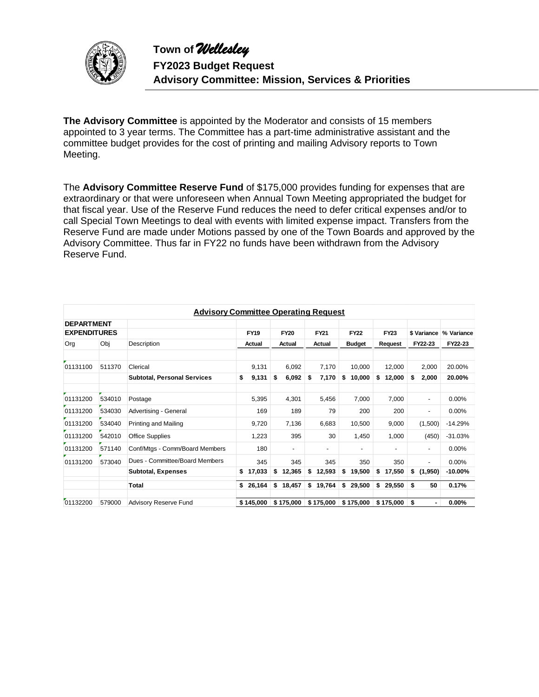

**The Advisory Committee** is appointed by the Moderator and consists of 15 members appointed to 3 year terms. The Committee has a part-time administrative assistant and the committee budget provides for the cost of printing and mailing Advisory reports to Town Meeting.

The **Advisory Committee Reserve Fund** of \$175,000 provides funding for expenses that are extraordinary or that were unforeseen when Annual Town Meeting appropriated the budget for that fiscal year. Use of the Reserve Fund reduces the need to defer critical expenses and/or to call Special Town Meetings to deal with events with limited expense impact. Transfers from the Reserve Fund are made under Motions passed by one of the Town Boards and approved by the Advisory Committee. Thus far in FY22 no funds have been withdrawn from the Advisory Reserve Fund.

|                                          | <b>Advisory Committee Operating Request</b> |                                    |    |             |    |             |    |             |    |                          |    |                          |             |                          |            |  |
|------------------------------------------|---------------------------------------------|------------------------------------|----|-------------|----|-------------|----|-------------|----|--------------------------|----|--------------------------|-------------|--------------------------|------------|--|
| <b>DEPARTMENT</b><br><b>EXPENDITURES</b> |                                             |                                    |    | <b>FY19</b> |    | <b>FY20</b> |    | <b>FY21</b> |    | <b>FY22</b>              |    | <b>FY23</b>              | \$ Variance |                          | % Variance |  |
| Org                                      | Obj                                         | Description                        |    | Actual      |    | Actual      |    | Actual      |    | <b>Budget</b>            |    | Request                  |             | FY22-23                  | FY22-23    |  |
| 01131100                                 | 511370                                      | Clerical                           |    | 9,131       |    | 6,092       |    | 7,170       |    | 10,000                   |    | 12,000                   |             | 2,000                    | 20.00%     |  |
|                                          |                                             | <b>Subtotal, Personal Services</b> | \$ | 9,131       | \$ | 6,092       | S  | 7,170       | \$ | 10,000                   | \$ | 12,000                   | \$          | 2,000                    | 20.00%     |  |
| 01131200                                 | 534010                                      | Postage                            |    | 5,395       |    | 4,301       |    | 5,456       |    | 7,000                    |    | 7,000                    |             | $\overline{\phantom{a}}$ | 0.00%      |  |
| 01131200                                 | 534030                                      | Advertising - General              |    | 169         |    | 189         |    | 79          |    | 200                      |    | 200                      |             | $\overline{\phantom{0}}$ | 0.00%      |  |
| 01131200                                 | 534040                                      | Printing and Mailing               |    | 9,720       |    | 7,136       |    | 6,683       |    | 10,500                   |    | 9,000                    |             | (1,500)                  | $-14.29%$  |  |
| 01131200                                 | 542010                                      | <b>Office Supplies</b>             |    | 1,223       |    | 395         |    | 30          |    | 1,450                    |    | 1,000                    |             | (450)                    | $-31.03%$  |  |
| 01131200                                 | 571140                                      | Conf/Mtgs - Comm/Board Members     |    | 180         |    | ۰.          |    | ٠           |    | $\overline{\phantom{a}}$ |    | $\overline{\phantom{0}}$ |             | $\overline{\phantom{0}}$ | 0.00%      |  |
| 01131200                                 | 573040                                      | Dues - Committee/Board Members     |    | 345         |    | 345         |    | 345         |    | 350                      |    | 350                      |             | ٠                        | 0.00%      |  |
|                                          |                                             | <b>Subtotal, Expenses</b>          | \$ | 17,033      | \$ | 12,365      | \$ | 12,593      | \$ | 19,500                   | \$ | 17,550                   | \$          | (1,950)                  | -10.00%    |  |
|                                          |                                             | Total                              | \$ | 26,164      |    | \$18,457    |    | \$19,764    |    | \$29,500                 | \$ | 29,550                   | \$          | 50                       | 0.17%      |  |
| 01132200                                 | 579000                                      | <b>Advisory Reserve Fund</b>       |    | \$145,000   |    | \$175,000   |    | \$175,000   |    | \$175,000                |    | \$175,000                | \$          |                          | 0.00%      |  |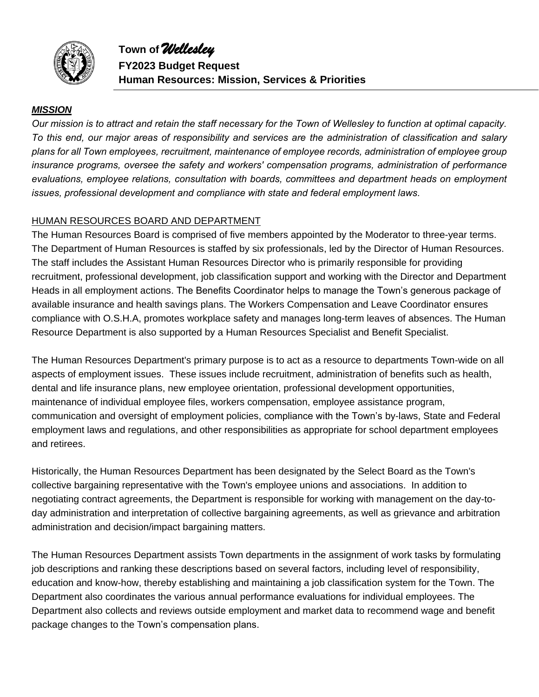

**Town of** *Wellesley* **FY2023 Budget Request Human Resources: Mission, Services & Priorities**

#### *MISSION*

*Our mission is to attract and retain the staff necessary for the Town of Wellesley to function at optimal capacity. To this end, our major areas of responsibility and services are the administration of classification and salary plans for all Town employees, recruitment, maintenance of employee records, administration of employee group insurance programs, oversee the safety and workers' compensation programs, administration of performance evaluations, employee relations, consultation with boards, committees and department heads on employment issues, professional development and compliance with state and federal employment laws.* 

#### HUMAN RESOURCES BOARD AND DEPARTMENT

The Human Resources Board is comprised of five members appointed by the Moderator to three-year terms. The Department of Human Resources is staffed by six professionals, led by the Director of Human Resources. The staff includes the Assistant Human Resources Director who is primarily responsible for providing recruitment, professional development, job classification support and working with the Director and Department Heads in all employment actions. The Benefits Coordinator helps to manage the Town's generous package of available insurance and health savings plans. The Workers Compensation and Leave Coordinator ensures compliance with O.S.H.A, promotes workplace safety and manages long-term leaves of absences. The Human Resource Department is also supported by a Human Resources Specialist and Benefit Specialist.

The Human Resources Department's primary purpose is to act as a resource to departments Town-wide on all aspects of employment issues. These issues include recruitment, administration of benefits such as health, dental and life insurance plans, new employee orientation, professional development opportunities, maintenance of individual employee files, workers compensation, employee assistance program, communication and oversight of employment policies, compliance with the Town's by-laws, State and Federal employment laws and regulations, and other responsibilities as appropriate for school department employees and retirees.

Historically, the Human Resources Department has been designated by the Select Board as the Town's collective bargaining representative with the Town's employee unions and associations. In addition to negotiating contract agreements, the Department is responsible for working with management on the day-today administration and interpretation of collective bargaining agreements, as well as grievance and arbitration administration and decision/impact bargaining matters.

The Human Resources Department assists Town departments in the assignment of work tasks by formulating job descriptions and ranking these descriptions based on several factors, including level of responsibility, education and know-how, thereby establishing and maintaining a job classification system for the Town. The Department also coordinates the various annual performance evaluations for individual employees. The Department also collects and reviews outside employment and market data to recommend wage and benefit package changes to the Town's compensation plans.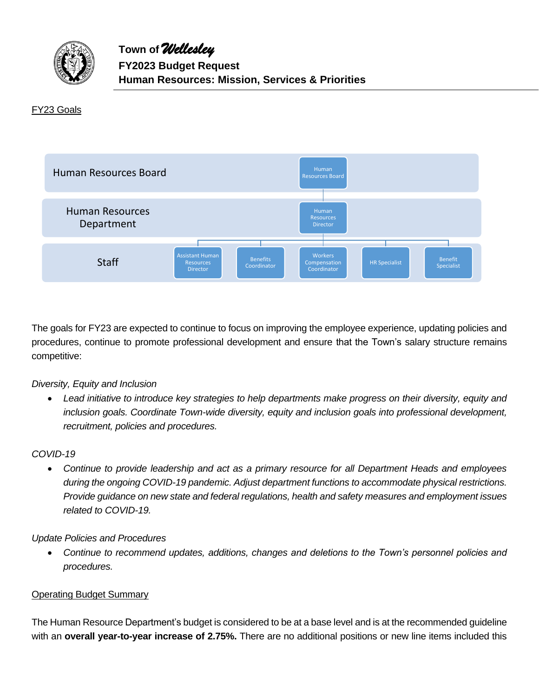

#### FY23 Goals



The goals for FY23 are expected to continue to focus on improving the employee experience, updating policies and procedures, continue to promote professional development and ensure that the Town's salary structure remains competitive:

#### *Diversity, Equity and Inclusion*

• *Lead initiative to introduce key strategies to help departments make progress on their diversity, equity and inclusion goals. Coordinate Town-wide diversity, equity and inclusion goals into professional development, recruitment, policies and procedures.* 

#### *COVID-19*

• *Continue to provide leadership and act as a primary resource for all Department Heads and employees during the ongoing COVID-19 pandemic. Adjust department functions to accommodate physical restrictions. Provide guidance on new state and federal regulations, health and safety measures and employment issues related to COVID-19.*

#### *Update Policies and Procedures*

• *Continue to recommend updates, additions, changes and deletions to the Town's personnel policies and procedures.* 

#### Operating Budget Summary

The Human Resource Department's budget is considered to be at a base level and is at the recommended guideline with an **overall year-to-year increase of 2.75%.** There are no additional positions or new line items included this